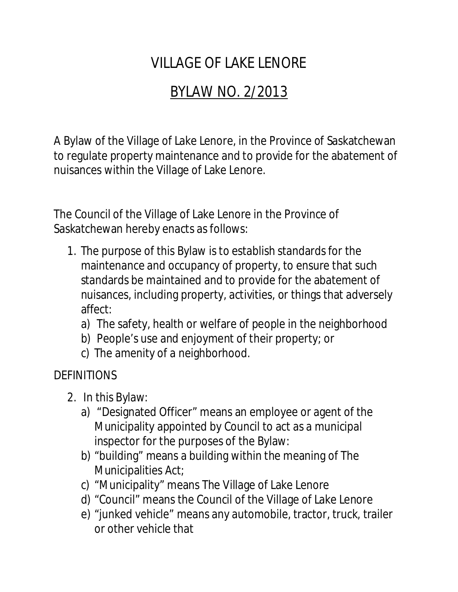# VILLAGE OF LAKE LENORE

# BYLAW NO. 2/2013

A Bylaw of the Village of Lake Lenore, in the Province of Saskatchewan to regulate property maintenance and to provide for the abatement of nuisances within the Village of Lake Lenore.

The Council of the Village of Lake Lenore in the Province of Saskatchewan hereby enacts as follows:

- 1. The purpose of this Bylaw is to establish standards for the maintenance and occupancy of property, to ensure that such standards be maintained and to provide for the abatement of nuisances, including property, activities, or things that adversely affect:
	- a) The safety, health or welfare of people in the neighborhood
	- b) People's use and enjoyment of their property; or
	- c) The amenity of a neighborhood.

## **DEFINITIONS**

- 2. In this Bylaw:
	- a) "Designated Officer" means an employee or agent of the Municipality appointed by Council to act as a municipal inspector for the purposes of the Bylaw:
	- b) "building" means a building within the meaning of The Municipalities Act;
	- c) "Municipality" means The Village of Lake Lenore
	- d) "Council" means the Council of the Village of Lake Lenore
	- e) "junked vehicle" means any automobile, tractor, truck, trailer or other vehicle that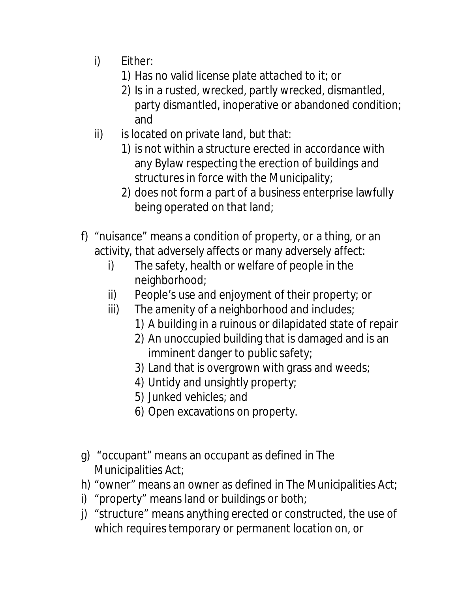- i) Either:
	- 1) Has no valid license plate attached to it; or
	- 2) Is in a rusted, wrecked, partly wrecked, dismantled, party dismantled, inoperative or abandoned condition; and
- $ii)$  is located on private land, but that:
	- 1) is not within a structure erected in accordance with any Bylaw respecting the erection of buildings and structures in force with the Municipality;
	- 2) does not form a part of a business enterprise lawfully being operated on that land;
- f) "nuisance" means a condition of property, or a thing, or an activity, that adversely affects or many adversely affect:
	- i) The safety, health or welfare of people in the neighborhood;
	- ii) People's use and enjoyment of their property; or
	- iii) The amenity of a neighborhood and includes;
		- 1) A building in a ruinous or dilapidated state of repair
		- 2) An unoccupied building that is damaged and is an imminent danger to public safety;
		- 3) Land that is overgrown with grass and weeds;
		- 4) Untidy and unsightly property;
		- 5) Junked vehicles; and
		- 6) Open excavations on property.
- g) "occupant" means an occupant as defined in The Municipalities Act;
- h) "owner" means an owner as defined in The Municipalities Act;
- i) "property" means land or buildings or both;
- j) "structure" means anything erected or constructed, the use of which requires temporary or permanent location on, or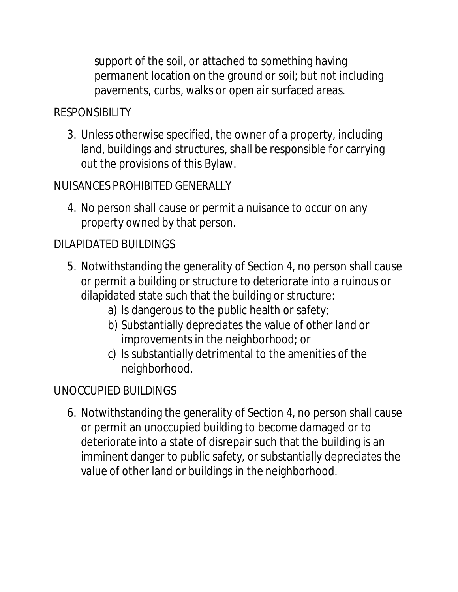support of the soil, or attached to something having permanent location on the ground or soil; but not including pavements, curbs, walks or open air surfaced areas.

## **RESPONSIBILITY**

3. Unless otherwise specified, the owner of a property, including land, buildings and structures, shall be responsible for carrying out the provisions of this Bylaw.

## NUISANCES PROHIBITED GENERALLY

4. No person shall cause or permit a nuisance to occur on any property owned by that person.

## DILAPIDATED BUILDINGS

- 5. Notwithstanding the generality of Section 4, no person shall cause or permit a building or structure to deteriorate into a ruinous or dilapidated state such that the building or structure:
	- a) Is dangerous to the public health or safety;
	- b) Substantially depreciates the value of other land or improvements in the neighborhood; or
	- c) Is substantially detrimental to the amenities of the neighborhood.

## UNOCCUPIED BUILDINGS

6. Notwithstanding the generality of Section 4, no person shall cause or permit an unoccupied building to become damaged or to deteriorate into a state of disrepair such that the building is an imminent danger to public safety, or substantially depreciates the value of other land or buildings in the neighborhood.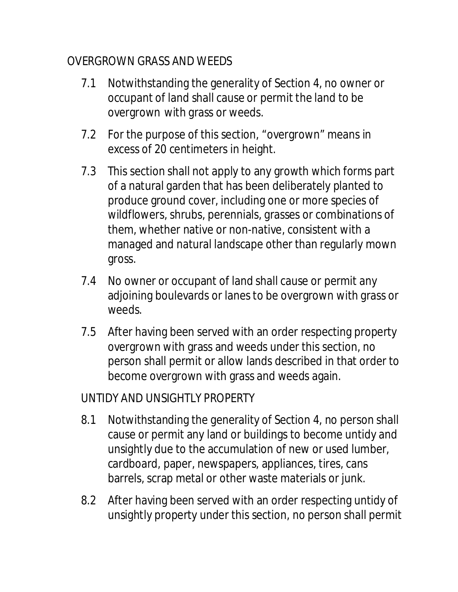## OVERGROWN GRASS AND WEEDS

- 7.1 Notwithstanding the generality of Section 4, no owner or occupant of land shall cause or permit the land to be overgrown with grass or weeds.
- 7.2 For the purpose of this section, "overgrown" means in excess of 20 centimeters in height.
- 7.3 This section shall not apply to any growth which forms part of a natural garden that has been deliberately planted to produce ground cover, including one or more species of wildflowers, shrubs, perennials, grasses or combinations of them, whether native or non-native, consistent with a managed and natural landscape other than regularly mown gross.
- 7.4 No owner or occupant of land shall cause or permit any adjoining boulevards or lanes to be overgrown with grass or weeds.
- 7.5 After having been served with an order respecting property overgrown with grass and weeds under this section, no person shall permit or allow lands described in that order to become overgrown with grass and weeds again.

## UNTIDY AND UNSIGHTLY PROPERTY

- 8.1 Notwithstanding the generality of Section 4, no person shall cause or permit any land or buildings to become untidy and unsightly due to the accumulation of new or used lumber, cardboard, paper, newspapers, appliances, tires, cans barrels, scrap metal or other waste materials or junk.
- 8.2 After having been served with an order respecting untidy of unsightly property under this section, no person shall permit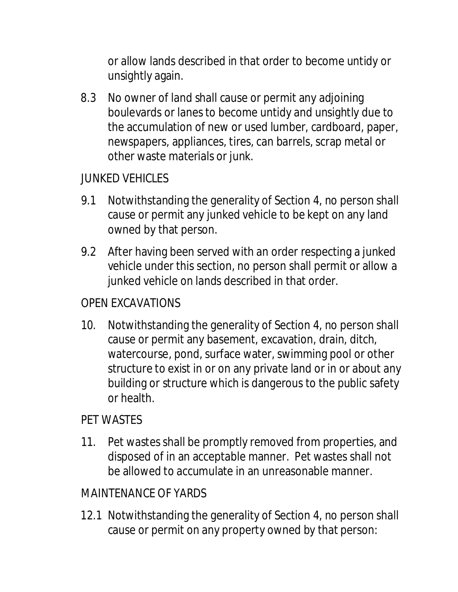or allow lands described in that order to become untidy or unsightly again.

8.3 No owner of land shall cause or permit any adjoining boulevards or lanes to become untidy and unsightly due to the accumulation of new or used lumber, cardboard, paper, newspapers, appliances, tires, can barrels, scrap metal or other waste materials or junk.

## JUNKED VEHICLES

- 9.1 Notwithstanding the generality of Section 4, no person shall cause or permit any junked vehicle to be kept on any land owned by that person.
- 9.2 After having been served with an order respecting a junked vehicle under this section, no person shall permit or allow a junked vehicle on lands described in that order.

#### OPEN EXCAVATIONS

10. Notwithstanding the generality of Section 4, no person shall cause or permit any basement, excavation, drain, ditch, watercourse, pond, surface water, swimming pool or other structure to exist in or on any private land or in or about any building or structure which is dangerous to the public safety or health.

#### PET WASTES

11. Pet wastes shall be promptly removed from properties, and disposed of in an acceptable manner. Pet wastes shall not be allowed to accumulate in an unreasonable manner.

#### MAINTENANCE OF YARDS

12.1 Notwithstanding the generality of Section 4, no person shall cause or permit on any property owned by that person: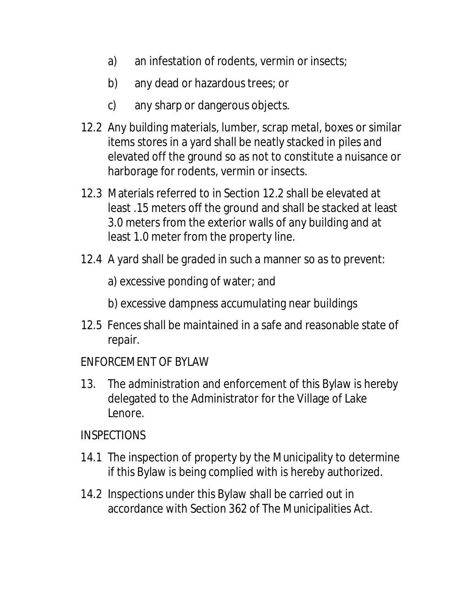- a) an infestation of rodents, vermin or insects;
- b) any dead or hazardous trees; or
- c) any sharp or dangerous objects.
- 12.2 Any building materials, lumber, scrap metal, boxes or similar items stores in a yard shall be neatly stacked in piles and elevated off the ground so as not to constitute a nuisance or harborage for rodents, vermin or insects.
- 12.3 Materials referred to in Section 12.2 shall be elevated at least .15 meters off the ground and shall be stacked at least 3.0 meters from the exterior walls of any building and at least 1.0 meter from the property line.
- 12.4 A yard shall be graded in such a manner so as to prevent:
	- a) excessive ponding of water; and
	- b) excessive dampness accumulating near buildings
- 12.5 Fences shall be maintained in a safe and reasonable state of repair.
- ENFORCEMENT OF BYLAW
- 13. The administration and enforcement of this Bylaw is hereby delegated to the Administrator for the Village of Lake Lenore.

#### **INSPECTIONS**

- 14.1 The inspection of property by the Municipality to determine if this Bylaw is being complied with is hereby authorized.
- 14.2 Inspections under this Bylaw shall be carried out in accordance with Section 362 of The Municipalities Act.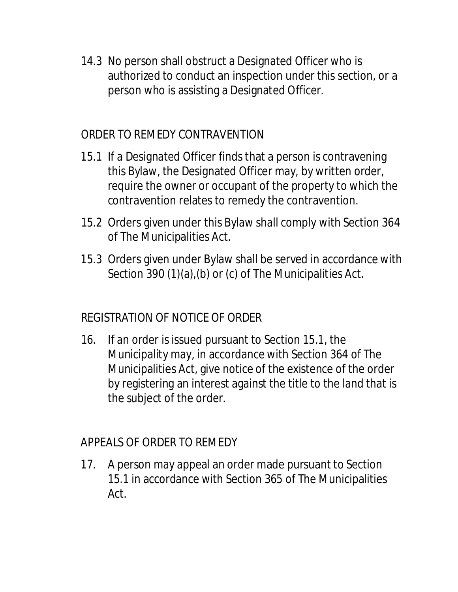14.3 No person shall obstruct a Designated Officer who is authorized to conduct an inspection under this section, or a person who is assisting a Designated Officer.

#### ORDER TO REMEDY CONTRAVENTION

- 15.1 If a Designated Officer finds that a person is contravening this Bylaw, the Designated Officer may, by written order, require the owner or occupant of the property to which the contravention relates to remedy the contravention.
- 15.2 Orders given under this Bylaw shall comply with Section 364 of The Municipalities Act.
- 15.3 Orders given under Bylaw shall be served in accordance with Section 390 (1)(a),(b) or (c) of The Municipalities Act.

#### REGISTRATION OF NOTICE OF ORDER

16. If an order is issued pursuant to Section 15.1, the Municipality may, in accordance with Section 364 of The Municipalities Act, give notice of the existence of the order by registering an interest against the title to the land that is the subject of the order.

#### APPEALS OF ORDER TO REMEDY

17. A person may appeal an order made pursuant to Section 15.1 in accordance with Section 365 of The Municipalities Act.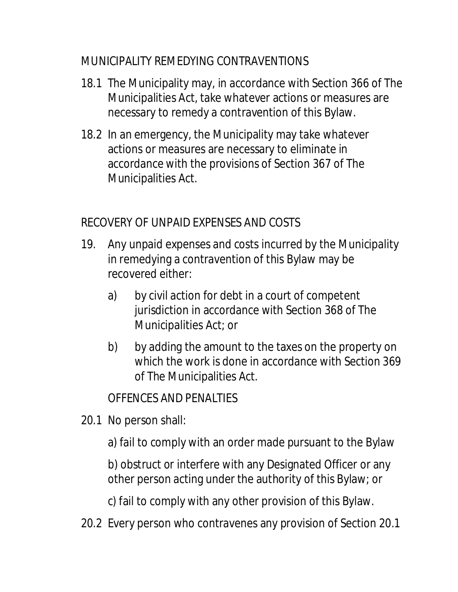## MUNICIPALITY REMEDYING CONTRAVENTIONS

- 18.1 The Municipality may, in accordance with Section 366 of The Municipalities Act, take whatever actions or measures are necessary to remedy a contravention of this Bylaw.
- 18.2 In an emergency, the Municipality may take whatever actions or measures are necessary to eliminate in accordance with the provisions of Section 367 of The Municipalities Act.

## RECOVERY OF UNPAID EXPENSES AND COSTS

- 19. Any unpaid expenses and costs incurred by the Municipality in remedying a contravention of this Bylaw may be recovered either:
	- a) by civil action for debt in a court of competent jurisdiction in accordance with Section 368 of The Municipalities Act; or
	- b) by adding the amount to the taxes on the property on which the work is done in accordance with Section 369 of The Municipalities Act.

## OFFENCES AND PENALTIES

- 20.1 No person shall:
	- a) fail to comply with an order made pursuant to the Bylaw

b) obstruct or interfere with any Designated Officer or any other person acting under the authority of this Bylaw; or

c) fail to comply with any other provision of this Bylaw.

20.2 Every person who contravenes any provision of Section 20.1